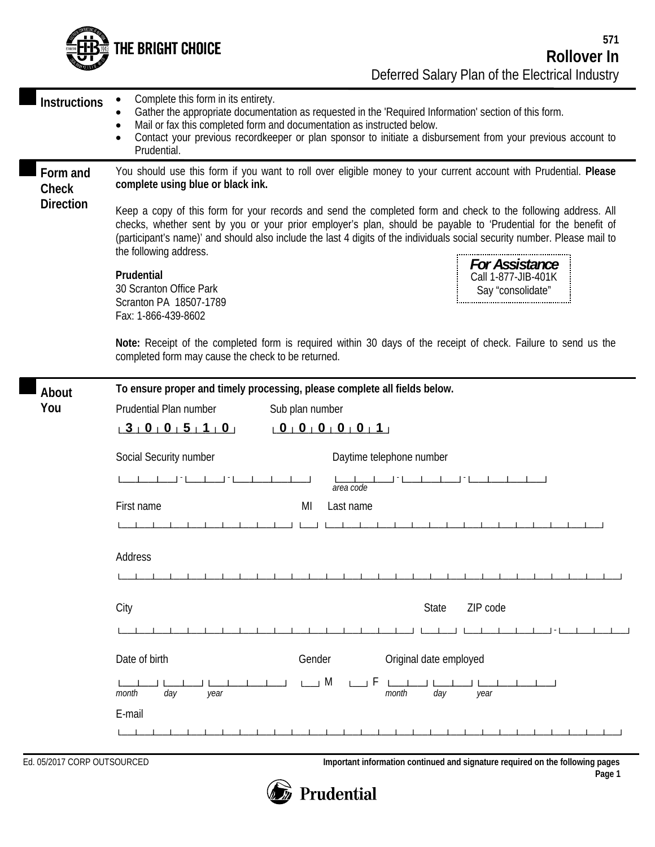

| <b>Instructions</b>                   | Complete this form in its entirety.<br>Gather the appropriate documentation as requested in the 'Required Information' section of this form.<br>Mail or fax this completed form and documentation as instructed below.<br>Contact your previous recordkeeper or plan sponsor to initiate a disbursement from your previous account to<br>Prudential.                                                                                                                                                                                                                                                                                                                                                                                                                                                                                                                                   |  |  |
|---------------------------------------|----------------------------------------------------------------------------------------------------------------------------------------------------------------------------------------------------------------------------------------------------------------------------------------------------------------------------------------------------------------------------------------------------------------------------------------------------------------------------------------------------------------------------------------------------------------------------------------------------------------------------------------------------------------------------------------------------------------------------------------------------------------------------------------------------------------------------------------------------------------------------------------|--|--|
| Form and<br>Check<br><b>Direction</b> | You should use this form if you want to roll over eligible money to your current account with Prudential. Please<br>complete using blue or black ink.<br>Keep a copy of this form for your records and send the completed form and check to the following address. All<br>checks, whether sent by you or your prior employer's plan, should be payable to 'Prudential for the benefit of<br>(participant's name)' and should also include the last 4 digits of the individuals social security number. Please mail to<br>the following address.<br><b>For Assistance</b><br>Prudential<br>Call 1-877-JIB-401K<br>30 Scranton Office Park<br>Say "consolidate"<br>Scranton PA 18507-1789<br>Fax: 1-866-439-8602<br>Note: Receipt of the completed form is required within 30 days of the receipt of check. Failure to send us the<br>completed form may cause the check to be returned. |  |  |
| About<br>You                          | To ensure proper and timely processing, please complete all fields below.<br>Prudential Plan number<br>Sub plan number<br>$0$ 0 0 $0$ 0 0 $1$<br>$-3$ $-0$ $-5$ $-1$ $-0$<br>Social Security number<br>Daytime telephone number<br>area code<br>First name<br>MI<br>Last name<br>Address<br>City<br>ZIP code<br>State<br>Date of birth<br>Original date employed<br>Gender<br>$L \rightarrow M$<br>day<br>year<br>month<br>month<br>day<br>year<br>E-mail                                                                                                                                                                                                                                                                                                                                                                                                                              |  |  |
|                                       |                                                                                                                                                                                                                                                                                                                                                                                                                                                                                                                                                                                                                                                                                                                                                                                                                                                                                        |  |  |

Ed. 05/2017 CORP OUTSOURCED **Important information continued and signature required on the following pages** 

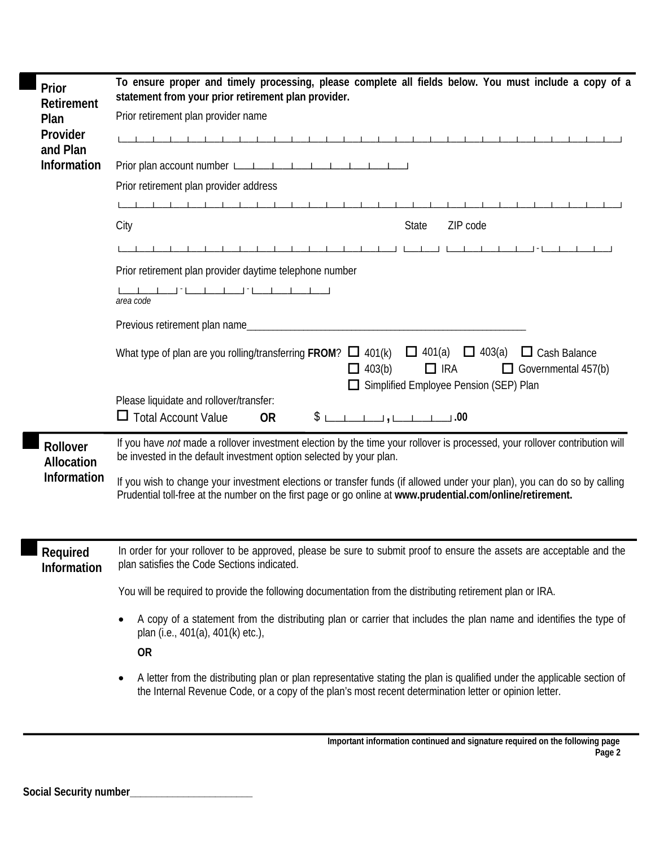| Prior<br>Retirement<br>Plan<br>Provider<br>and Plan<br><b>Information</b> | To ensure proper and timely processing, please complete all fields below. You must include a copy of a<br>statement from your prior retirement plan provider.<br>Prior retirement plan provider name<br>1 1 1 1 1 1 1 1 1<br>Prior retirement plan provider address<br>ZIP code<br>City<br><b>State</b><br>Prior retirement plan provider daytime telephone number<br>area code<br>Previous retirement plan name<br>$\Box$ 401(a)<br>$\Box$ 403(a)<br>What type of plan are you rolling/transferring FROM? $\Box$ 401(k)<br>$\Box$ Cash Balance<br>$\Box$ 403(b)<br>$\Box$ IRA<br>Governmental 457(b)<br>Simplified Employee Pension (SEP) Plan<br>Please liquidate and rollover/transfer:<br><b>Total Account Value</b><br>\$L<br>ப<br><b>OR</b> |  |
|---------------------------------------------------------------------------|---------------------------------------------------------------------------------------------------------------------------------------------------------------------------------------------------------------------------------------------------------------------------------------------------------------------------------------------------------------------------------------------------------------------------------------------------------------------------------------------------------------------------------------------------------------------------------------------------------------------------------------------------------------------------------------------------------------------------------------------------|--|
| Rollover<br><b>Allocation</b><br><b>Information</b>                       | If you have not made a rollover investment election by the time your rollover is processed, your rollover contribution will<br>be invested in the default investment option selected by your plan.<br>If you wish to change your investment elections or transfer funds (if allowed under your plan), you can do so by calling<br>Prudential toll-free at the number on the first page or go online at www.prudential.com/online/retirement.                                                                                                                                                                                                                                                                                                      |  |
|                                                                           |                                                                                                                                                                                                                                                                                                                                                                                                                                                                                                                                                                                                                                                                                                                                                   |  |
| Required<br>Information                                                   | In order for your rollover to be approved, please be sure to submit proof to ensure the assets are acceptable and the<br>plan satisfies the Code Sections indicated.                                                                                                                                                                                                                                                                                                                                                                                                                                                                                                                                                                              |  |
|                                                                           | You will be required to provide the following documentation from the distributing retirement plan or IRA.                                                                                                                                                                                                                                                                                                                                                                                                                                                                                                                                                                                                                                         |  |
|                                                                           | A copy of a statement from the distributing plan or carrier that includes the plan name and identifies the type of                                                                                                                                                                                                                                                                                                                                                                                                                                                                                                                                                                                                                                |  |
|                                                                           | plan (i.e., 401(a), 401(k) etc.),                                                                                                                                                                                                                                                                                                                                                                                                                                                                                                                                                                                                                                                                                                                 |  |
|                                                                           | <b>OR</b>                                                                                                                                                                                                                                                                                                                                                                                                                                                                                                                                                                                                                                                                                                                                         |  |
|                                                                           | A letter from the distributing plan or plan representative stating the plan is qualified under the applicable section of<br>$\bullet$<br>the Internal Revenue Code, or a copy of the plan's most recent determination letter or opinion letter.                                                                                                                                                                                                                                                                                                                                                                                                                                                                                                   |  |

Г